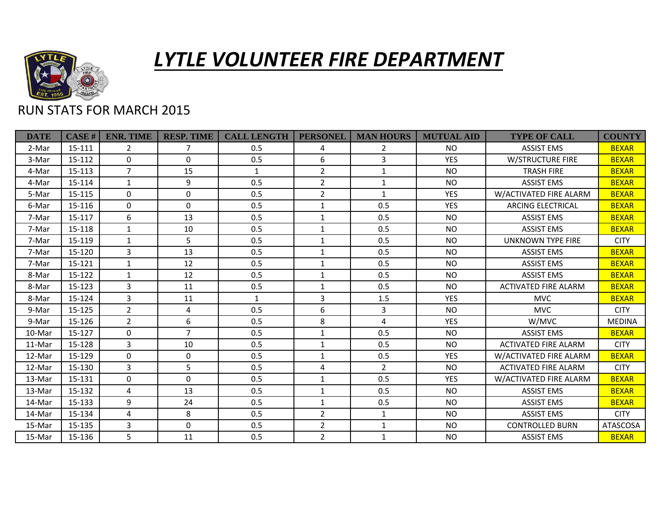

## *LYTLE VOLUNTEER FIRE DEPARTMENT*

## RUN STATS FOR MARCH 2015

| <b>DATE</b> | $CASE$ # | <b>ENR. TIME</b> | <b>RESP. TIME</b> | <b>CALL LENGTH</b> | <b>PERSONEL</b> | <b>MAN HOURS</b> | <b>MUTUAL AID</b> | <b>TYPE OF CALL</b>         | <b>COUNTY</b>   |
|-------------|----------|------------------|-------------------|--------------------|-----------------|------------------|-------------------|-----------------------------|-----------------|
| 2-Mar       | 15-111   | $\overline{2}$   | 7                 | 0.5                | 4               | $\overline{2}$   | <b>NO</b>         | <b>ASSIST EMS</b>           | <b>BEXAR</b>    |
| 3-Mar       | 15-112   | 0                | $\Omega$          | 0.5                | 6               | 3                | <b>YES</b>        | <b>W/STRUCTURE FIRE</b>     | <b>BEXAR</b>    |
| 4-Mar       | 15-113   | $\overline{7}$   | 15                | $\mathbf{1}$       | $\overline{2}$  | $\mathbf{1}$     | NO.               | <b>TRASH FIRE</b>           | <b>BEXAR</b>    |
| 4-Mar       | 15-114   | $\mathbf{1}$     | 9                 | 0.5                | $\overline{2}$  | $\mathbf{1}$     | <b>NO</b>         | <b>ASSIST EMS</b>           | <b>BEXAR</b>    |
| 5-Mar       | 15-115   | 0                | $\Omega$          | 0.5                | $\overline{2}$  | $\mathbf{1}$     | <b>YES</b>        | W/ACTIVATED FIRE ALARM      | <b>BEXAR</b>    |
| 6-Mar       | 15-116   | 0                | $\Omega$          | 0.5                | $\mathbf{1}$    | 0.5              | <b>YES</b>        | <b>ARCING ELECTRICAL</b>    | <b>BEXAR</b>    |
| 7-Mar       | 15-117   | 6                | 13                | 0.5                | $\mathbf{1}$    | 0.5              | <b>NO</b>         | <b>ASSIST EMS</b>           | <b>BEXAR</b>    |
| 7-Mar       | 15-118   | $\mathbf{1}$     | 10                | 0.5                | $\mathbf{1}$    | 0.5              | <b>NO</b>         | <b>ASSIST EMS</b>           | <b>BEXAR</b>    |
| 7-Mar       | 15-119   | $\mathbf{1}$     | 5                 | 0.5                | $\mathbf{1}$    | 0.5              | <b>NO</b>         | <b>UNKNOWN TYPE FIRE</b>    | <b>CITY</b>     |
| 7-Mar       | 15-120   | 3                | 13                | 0.5                | $\mathbf{1}$    | 0.5              | <b>NO</b>         | <b>ASSIST EMS</b>           | <b>BEXAR</b>    |
| 7-Mar       | 15-121   | $\mathbf{1}$     | 12                | 0.5                | $\mathbf{1}$    | 0.5              | <b>NO</b>         | <b>ASSIST EMS</b>           | <b>BEXAR</b>    |
| 8-Mar       | 15-122   | $\mathbf{1}$     | 12                | 0.5                | 1               | 0.5              | <b>NO</b>         | <b>ASSIST EMS</b>           | <b>BEXAR</b>    |
| 8-Mar       | 15-123   | 3                | 11                | 0.5                | $\mathbf{1}$    | 0.5              | <b>NO</b>         | <b>ACTIVATED FIRE ALARM</b> | <b>BEXAR</b>    |
| 8-Mar       | 15-124   | 3                | 11                | $\mathbf{1}$       | 3               | 1.5              | <b>YES</b>        | <b>MVC</b>                  | <b>BEXAR</b>    |
| 9-Mar       | 15-125   | $\overline{2}$   | 4                 | 0.5                | 6               | 3                | NO.               | <b>MVC</b>                  | <b>CITY</b>     |
| 9-Mar       | 15-126   | $\overline{2}$   | 6                 | 0.5                | 8               | 4                | <b>YES</b>        | W/MVC                       | <b>MEDINA</b>   |
| 10-Mar      | 15-127   | $\Omega$         | $\overline{7}$    | 0.5                | $\mathbf{1}$    | 0.5              | NO.               | <b>ASSIST EMS</b>           | <b>BEXAR</b>    |
| 11-Mar      | 15-128   | 3                | 10                | 0.5                | $\mathbf{1}$    | 0.5              | <b>NO</b>         | <b>ACTIVATED FIRE ALARM</b> | <b>CITY</b>     |
| 12-Mar      | 15-129   | 0                | $\Omega$          | 0.5                | $\mathbf{1}$    | 0.5              | <b>YES</b>        | W/ACTIVATED FIRE ALARM      | <b>BEXAR</b>    |
| 12-Mar      | 15-130   | 3                | 5                 | 0.5                | 4               | $\overline{2}$   | <b>NO</b>         | <b>ACTIVATED FIRE ALARM</b> | <b>CITY</b>     |
| 13-Mar      | 15-131   | 0                | $\Omega$          | 0.5                | $\mathbf{1}$    | 0.5              | <b>YES</b>        | W/ACTIVATED FIRE ALARM      | <b>BEXAR</b>    |
| 13-Mar      | 15-132   | 4                | 13                | 0.5                | 1               | 0.5              | NO.               | <b>ASSIST EMS</b>           | <b>BEXAR</b>    |
| 14-Mar      | 15-133   | 9                | 24                | 0.5                | $\mathbf{1}$    | 0.5              | <b>NO</b>         | <b>ASSIST EMS</b>           | <b>BEXAR</b>    |
| 14-Mar      | 15-134   | 4                | 8                 | 0.5                | $\overline{2}$  | $\mathbf{1}$     | <b>NO</b>         | <b>ASSIST EMS</b>           | <b>CITY</b>     |
| 15-Mar      | 15-135   | 3                | $\Omega$          | 0.5                | $\overline{2}$  | $\mathbf{1}$     | <b>NO</b>         | <b>CONTROLLED BURN</b>      | <b>ATASCOSA</b> |
| 15-Mar      | 15-136   | 5                | 11                | 0.5                | $\overline{2}$  | $\mathbf{1}$     | <b>NO</b>         | <b>ASSIST EMS</b>           | <b>BEXAR</b>    |